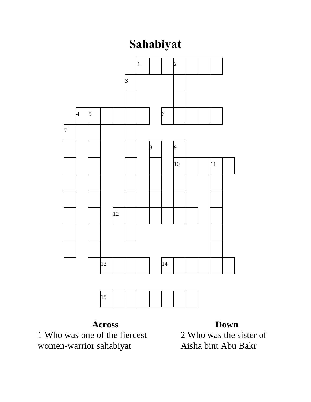## **Sahabiyat**



**Across** Who was one of the fiercest women-warrior sahabiyat

## **Down**

 Who was the sister of Aisha bint Abu Bakr